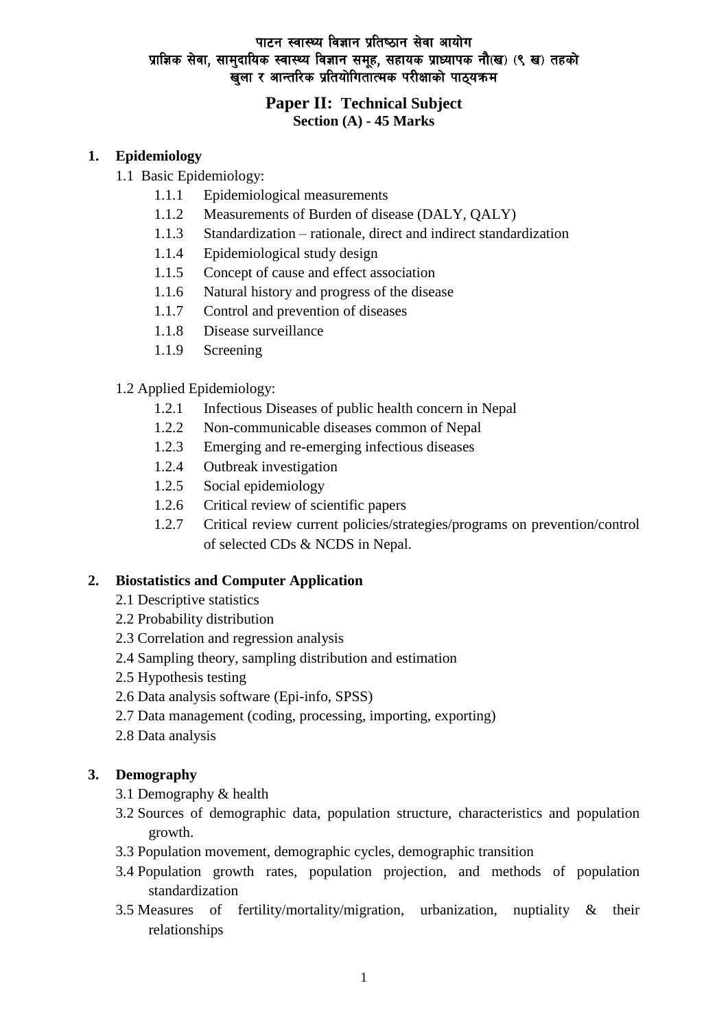### पाटन स्वास्थ्य विज्ञान प्रतिष्ठान सेवा आयोग प्राज्ञिक सेवा, सामुदायिक स्वास्थ्य विज्ञान समूह, सहायक प्राध्यापक नौ(ख) (९ ख) तहको खुला र आन्तरिक प्रतियोगितात्मक परीक्षाको पाठ्यक्रम

# **Paper II: Technical Subject**

**Section (A) - 45 Marks**

# **1. Epidemiology**

- 1.1 Basic Epidemiology:
	- 1.1.1 Epidemiological measurements
	- 1.1.2 Measurements of Burden of disease (DALY, QALY)
	- 1.1.3 Standardization rationale, direct and indirect standardization
	- 1.1.4 Epidemiological study design
	- 1.1.5 Concept of cause and effect association
	- 1.1.6 Natural history and progress of the disease
	- 1.1.7 Control and prevention of diseases
	- 1.1.8 Disease surveillance
	- 1.1.9 Screening

# 1.2 Applied Epidemiology:

- 1.2.1 Infectious Diseases of public health concern in Nepal
- 1.2.2 Non-communicable diseases common of Nepal
- 1.2.3 Emerging and re-emerging infectious diseases
- 1.2.4 Outbreak investigation
- 1.2.5 Social epidemiology
- 1.2.6 Critical review of scientific papers
- 1.2.7 Critical review current policies/strategies/programs on prevention/control of selected CDs & NCDS in Nepal.

# **2. Biostatistics and Computer Application**

- 2.1 Descriptive statistics
- 2.2 Probability distribution
- 2.3 Correlation and regression analysis
- 2.4 Sampling theory, sampling distribution and estimation
- 2.5 Hypothesis testing
- 2.6 Data analysis software (Epi-info, SPSS)
- 2.7 Data management (coding, processing, importing, exporting)
- 2.8 Data analysis

# **3. Demography**

- 3.1 Demography & health
- 3.2 Sources of demographic data, population structure, characteristics and population growth.
- 3.3 Population movement, demographic cycles, demographic transition
- 3.4 Population growth rates, population projection, and methods of population standardization
- 3.5 Measures of fertility/mortality/migration, urbanization, nuptiality & their relationships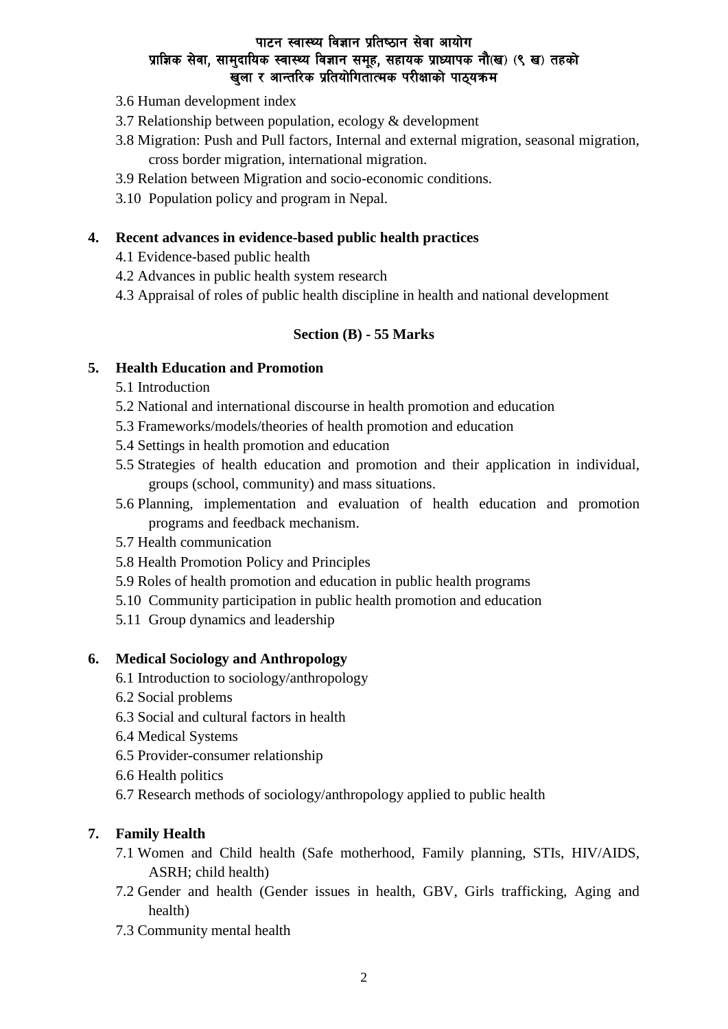# पाटन स्वास्थ्य विज्ञान प्रतिष्ठान सेवा आयोग प्राज्ञिक सेवा, सामुदायिक स्वास्थ्य विज्ञान समूह, सहायक प्राध्यापक नौ(ख) (९ ख) तहको बुला र आन्तरिक प्रतियोगितोत्मक परीक्षाको पाठ्यक्रम

- 3.6 Human development index
- 3.7 Relationship between population, ecology & development
- 3.8 Migration: Push and Pull factors, Internal and external migration, seasonal migration, cross border migration, international migration.
- 3.9 Relation between Migration and socio-economic conditions.
- 3.10 Population policy and program in Nepal.

#### **4. Recent advances in evidence-based public health practices**

- 4.1 Evidence-based public health
- 4.2 Advances in public health system research
- 4.3 Appraisal of roles of public health discipline in health and national development

#### **Section (B) - 55 Marks**

#### **5. Health Education and Promotion**

- 5.1 Introduction
- 5.2 National and international discourse in health promotion and education
- 5.3 Frameworks/models/theories of health promotion and education
- 5.4 Settings in health promotion and education
- 5.5 Strategies of health education and promotion and their application in individual, groups (school, community) and mass situations.
- 5.6 Planning, implementation and evaluation of health education and promotion programs and feedback mechanism.
- 5.7 Health communication
- 5.8 Health Promotion Policy and Principles
- 5.9 Roles of health promotion and education in public health programs
- 5.10 Community participation in public health promotion and education
- 5.11 Group dynamics and leadership

#### **6. Medical Sociology and Anthropology**

- 6.1 Introduction to sociology/anthropology
- 6.2 Social problems
- 6.3 Social and cultural factors in health
- 6.4 Medical Systems
- 6.5 Provider-consumer relationship
- 6.6 Health politics
- 6.7 Research methods of sociology/anthropology applied to public health

#### **7. Family Health**

- 7.1 Women and Child health (Safe motherhood, Family planning, STIs, HIV/AIDS, ASRH; child health)
- 7.2 Gender and health (Gender issues in health, GBV, Girls trafficking, Aging and health)
- 7.3 Community mental health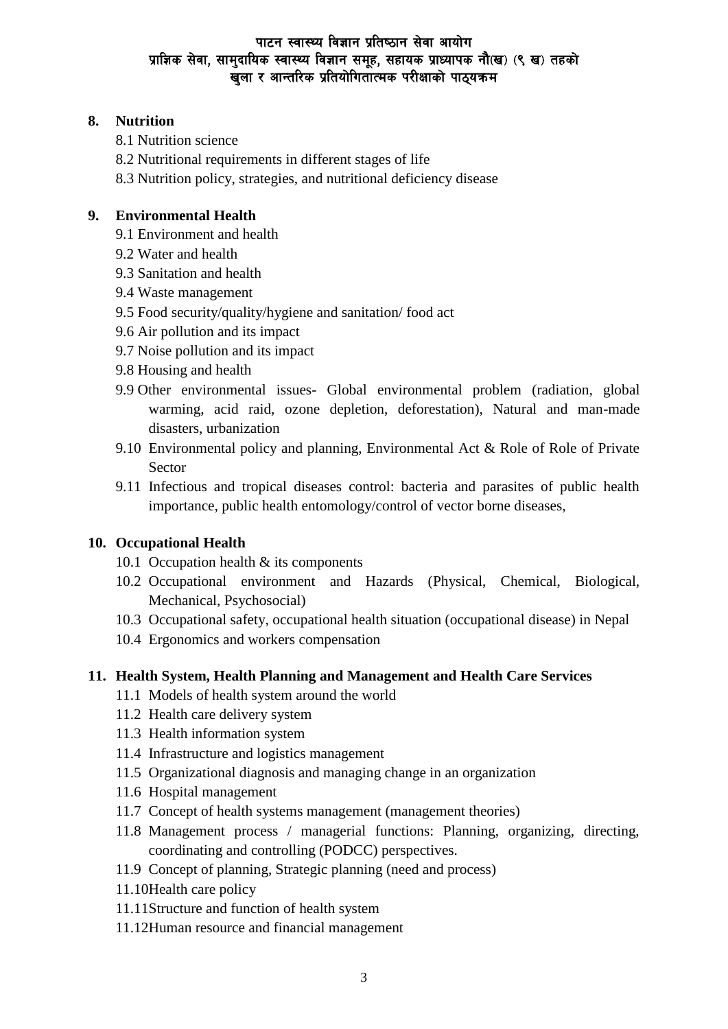# पाटन स्वास्थ्य विज्ञान प्रतिष्ठान सेवा आयोग प्राज्ञिक सेवा, सामुदायिक स्वास्थ्य विज्ञान समूह, सहायक प्राध्यापक नौ(ख) (९ ख) तहको खुला र आन्तरिक प्रतियोगितात्मक परीक्षाको पाठ्यक्रम

### **8. Nutrition**

- 8.1 Nutrition science
- 8.2 Nutritional requirements in different stages of life
- 8.3 Nutrition policy, strategies, and nutritional deficiency disease

## **9. Environmental Health**

- 9.1 Environment and health
- 9.2 Water and health
- 9.3 Sanitation and health
- 9.4 Waste management
- 9.5 Food security/quality/hygiene and sanitation/ food act
- 9.6 Air pollution and its impact
- 9.7 Noise pollution and its impact
- 9.8 Housing and health
- 9.9 Other environmental issues- Global environmental problem (radiation, global warming, acid raid, ozone depletion, deforestation), Natural and man-made disasters, urbanization
- 9.10 Environmental policy and planning, Environmental Act & Role of Role of Private Sector
- 9.11 Infectious and tropical diseases control: bacteria and parasites of public health importance, public health entomology/control of vector borne diseases,

# **10. Occupational Health**

- 10.1 Occupation health & its components
- 10.2 Occupational environment and Hazards (Physical, Chemical, Biological, Mechanical, Psychosocial)
- 10.3 Occupational safety, occupational health situation (occupational disease) in Nepal
- 10.4 Ergonomics and workers compensation

#### **11. Health System, Health Planning and Management and Health Care Services**

- 11.1 Models of health system around the world
- 11.2 Health care delivery system
- 11.3 Health information system
- 11.4 Infrastructure and logistics management
- 11.5 Organizational diagnosis and managing change in an organization
- 11.6 Hospital management
- 11.7 Concept of health systems management (management theories)
- 11.8 Management process / managerial functions: Planning, organizing, directing, coordinating and controlling (PODCC) perspectives.
- 11.9 Concept of planning, Strategic planning (need and process)
- 11.10Health care policy
- 11.11Structure and function of health system
- 11.12Human resource and financial management